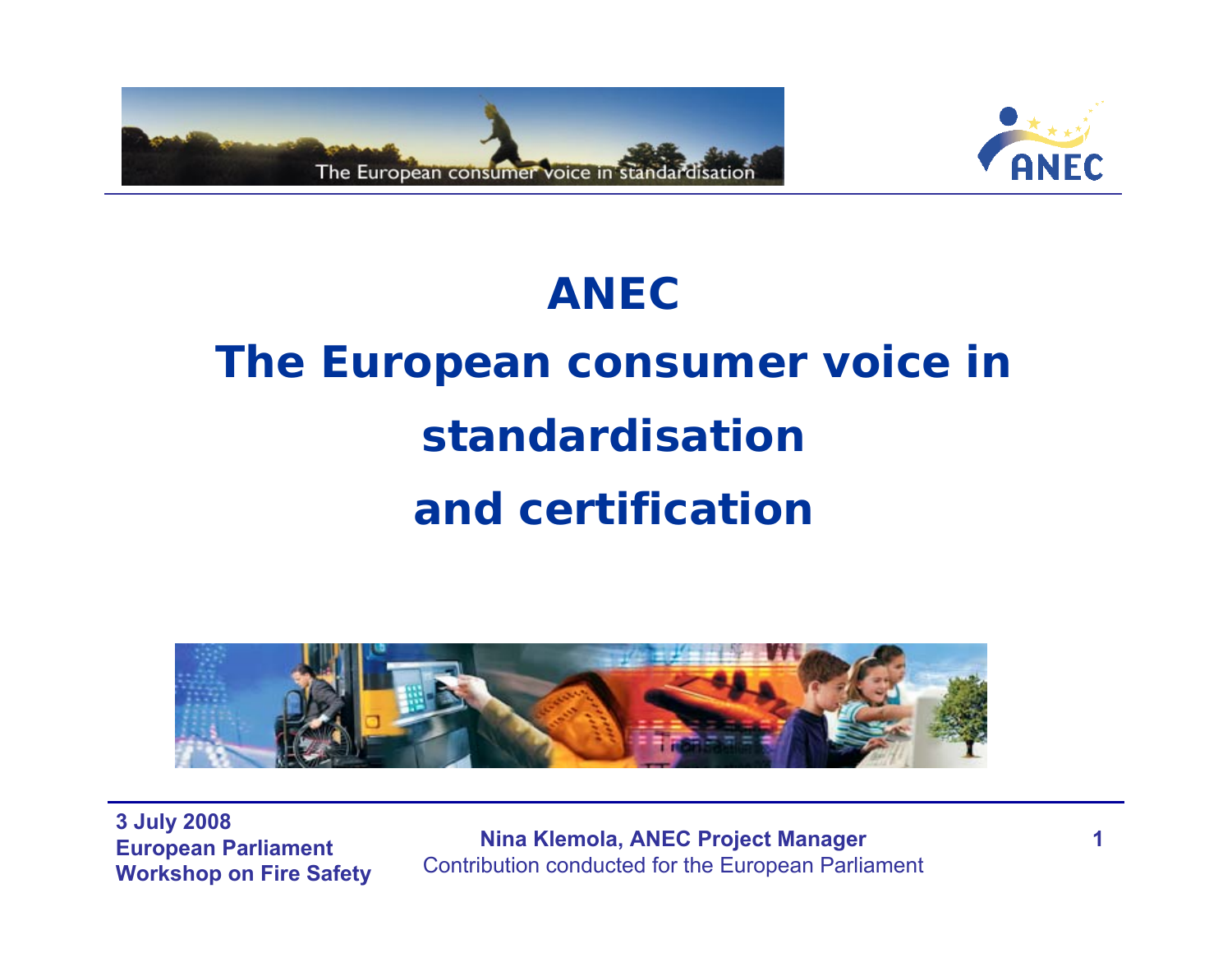



### **ANEC**

# **The European consumer voice in standardisation and certification**



**3 July 2008 European Parliament Workshop on Fire Safety** 

**Nina Klemola, ANEC Project Manager** Contribution conducted for the European Parliament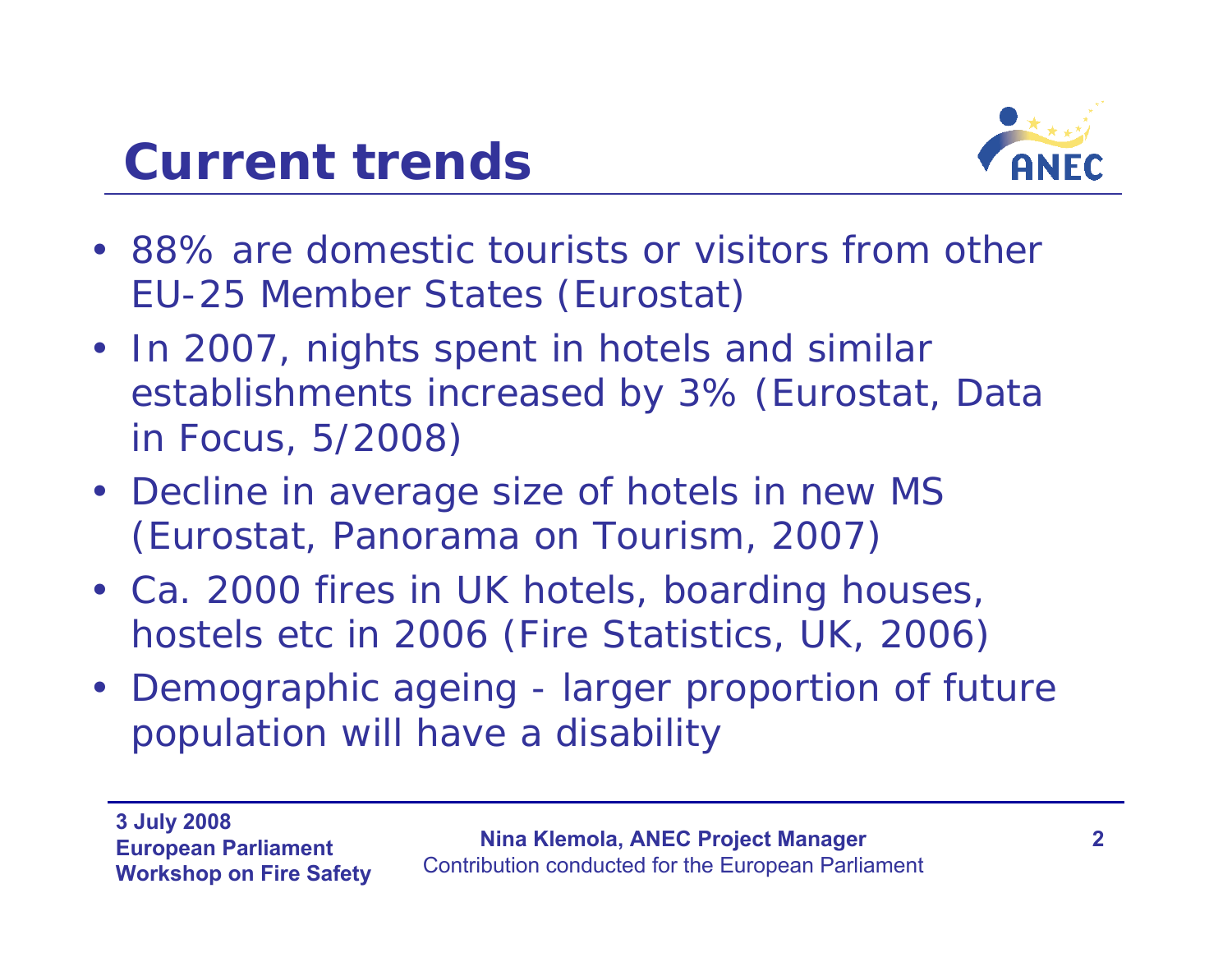



- 88% are domestic tourists or visitors from other EU-25 Member States *(Eurostat)*
- In 2007, nights spent in hotels and similar establishments increased by 3% *(Eurostat, Data in Focus, 5/2008)*
- Decline in average size of hotels in new MS *(Eurostat, Panorama on Tourism, 2007)*
- Ca. 2000 fires in UK hotels, boarding houses, hostels etc in 2006 *(Fire Statistics, UK, 2006)*
- Demographic ageing larger proportion of future population will have a disability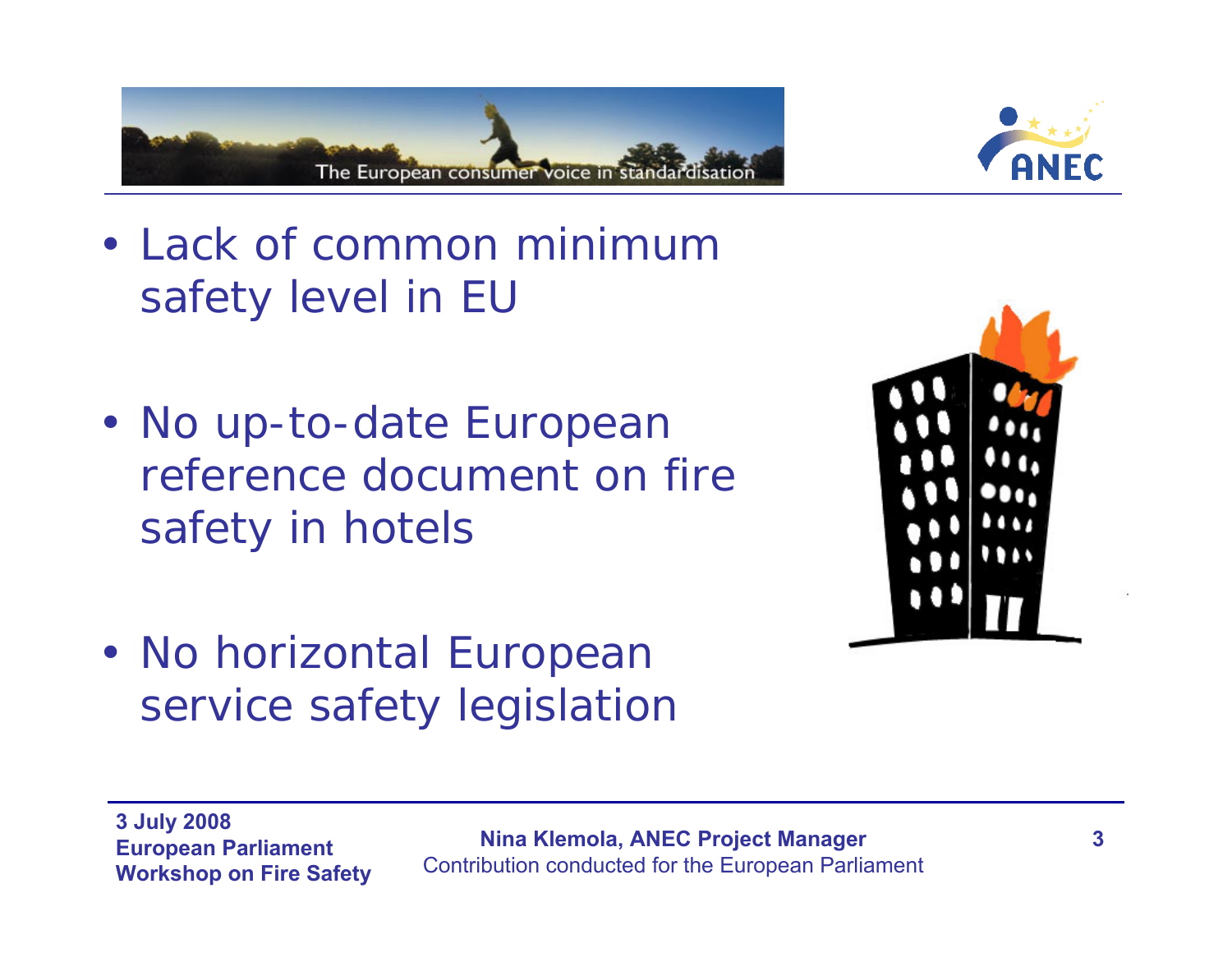



- Lack of common minimum safety level in EU
- No up-to-date European reference document on fire safety in hotels



• No horizontal European service safety legislation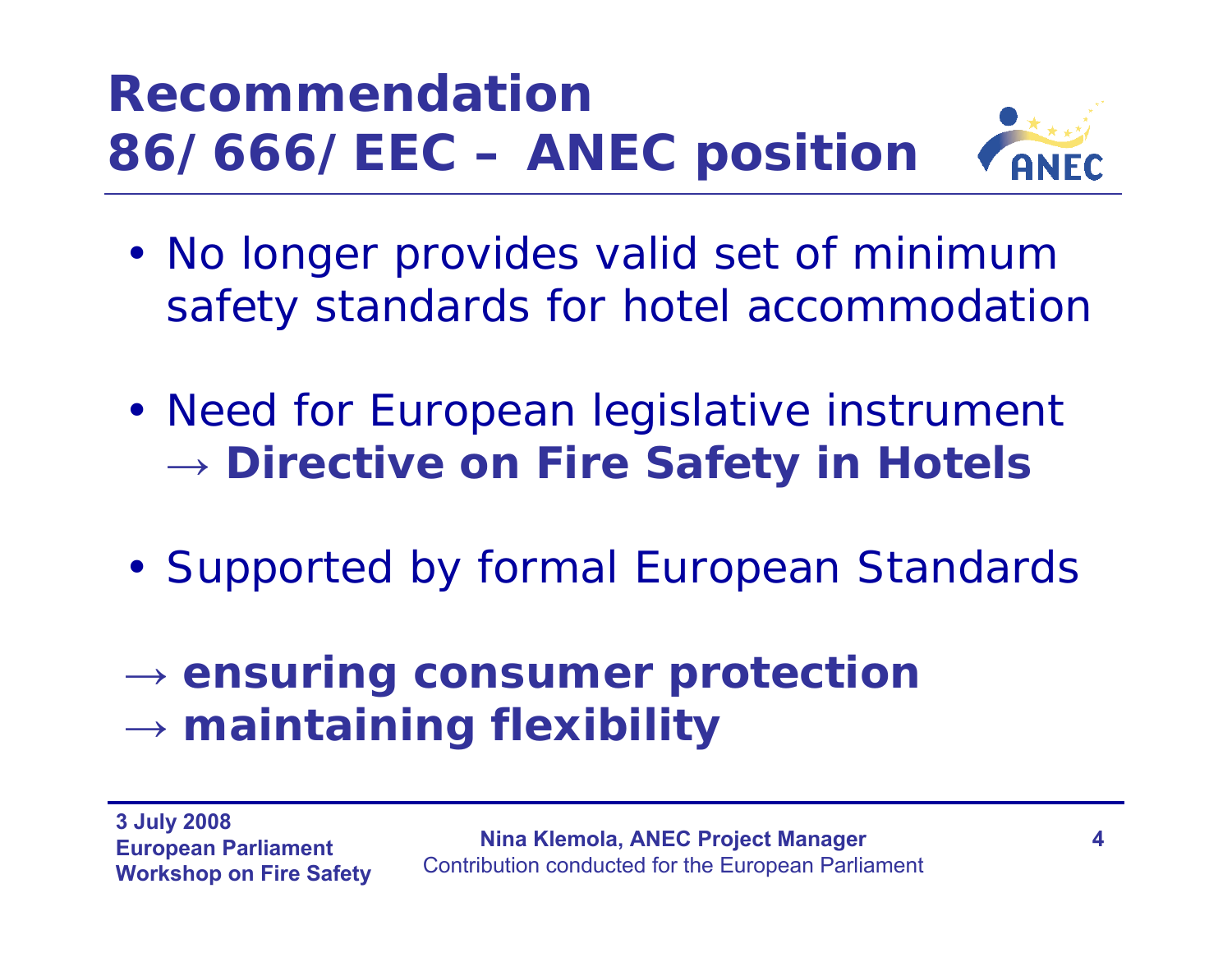## *Recommendation 86/666/EEC – ANEC position*



- No longer provides valid set of minimum safety standards for hotel accommodation
- Need for European legislative instrument **→ Directive on Fire Safety in Hotels**
- Supported by formal European Standards
- **→ ensuring consumer protection →** $\rightarrow$  maintaining flexibility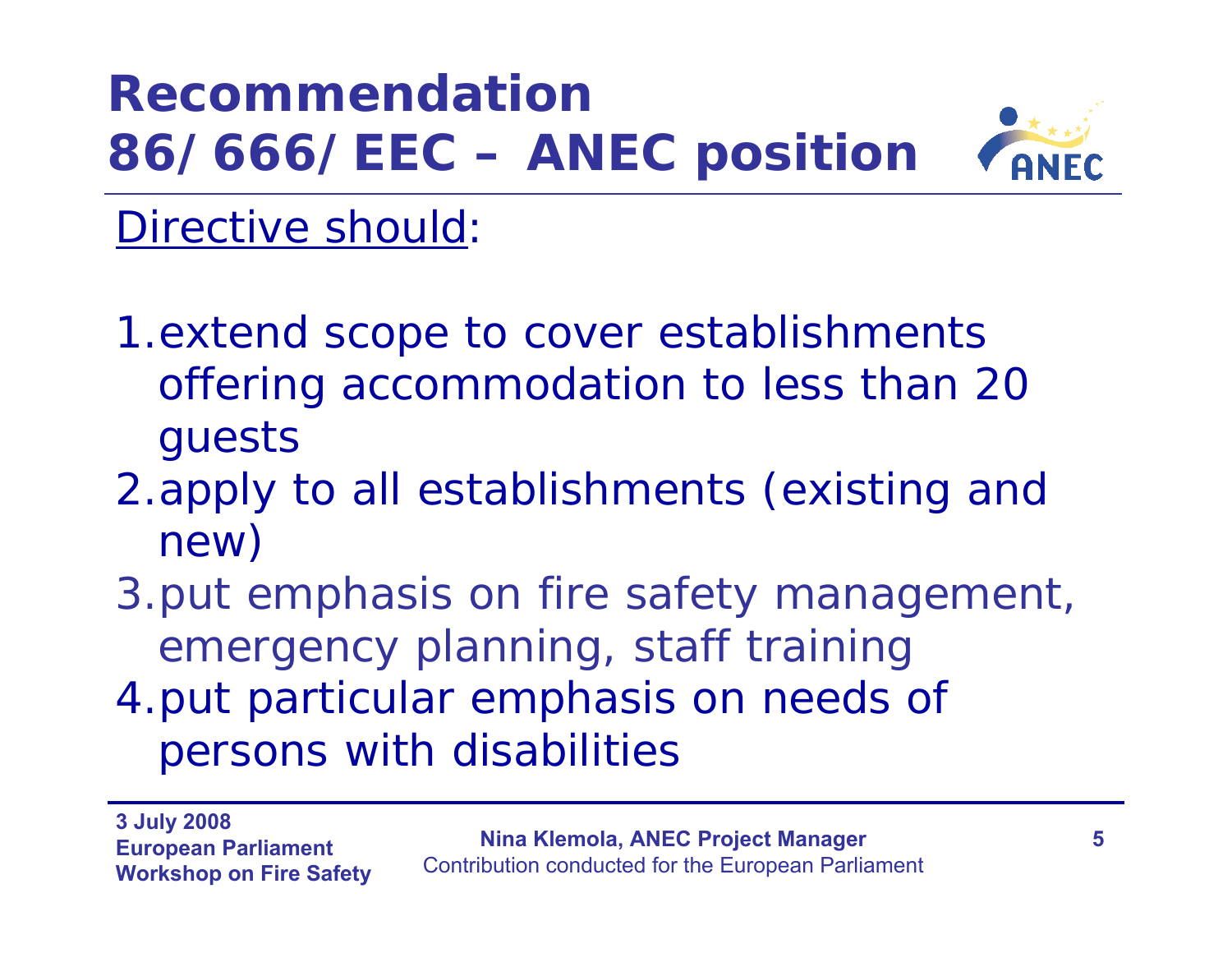## *Recommendation 86/666/EEC – ANEC position*



#### Directive should:

- 1.extend scope to cover establishments offering accommodation to less than 20 guests
- 2.apply to all establishments (existing and new)
- 3.put emphasis on fire safety management, emergency planning, staff training
- 4.put particular emphasis on needs of persons with disabilities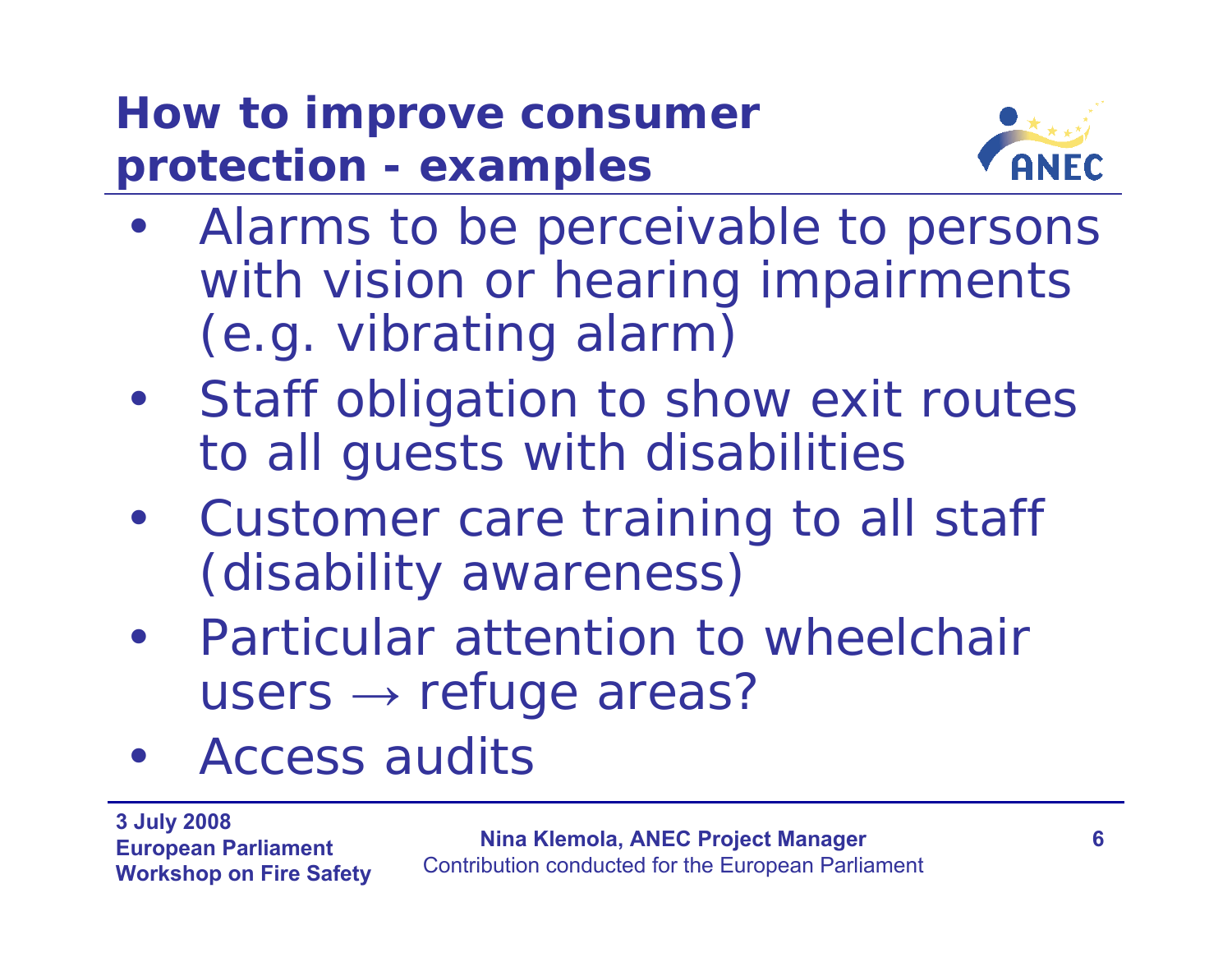## *How to improve consumer protection - examples*



- Alarms to be perceivable to persons with vision or hearing impairments (e.g. vibrating alarm)
- • Staff obligation to show exit routes to all guests with disabilities
- $\bullet$  Customer care training to all staff (disability awareness)
- Particular attention to wheelchair users  $\rightarrow$  refuge areas?
- $\bullet$ Access audits